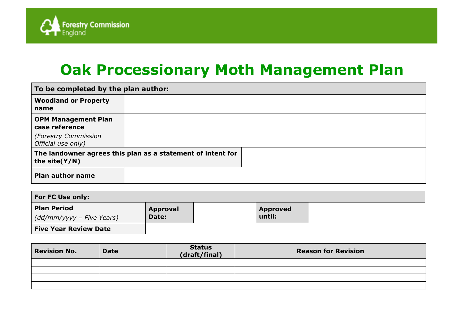

# **Oak Processionary Moth Management Plan**

| To be completed by the plan author:          |                                                             |  |  |  |  |
|----------------------------------------------|-------------------------------------------------------------|--|--|--|--|
| <b>Woodland or Property</b><br>name          |                                                             |  |  |  |  |
| <b>OPM Management Plan</b><br>case reference |                                                             |  |  |  |  |
| (Forestry Commission<br>Official use only)   |                                                             |  |  |  |  |
| the site $(Y/N)$                             | The landowner agrees this plan as a statement of intent for |  |  |  |  |
| <b>Plan author name</b>                      |                                                             |  |  |  |  |

| For FC Use only:                                |                   |  |                           |  |  |
|-------------------------------------------------|-------------------|--|---------------------------|--|--|
| <b>Plan Period</b><br>(dd/mm/yyyy – Five Years) | Approval<br>Date: |  | <b>Approved</b><br>until: |  |  |
| <b>Five Year Review Date</b>                    |                   |  |                           |  |  |

| <b>Revision No.</b> | <b>Date</b> | <b>Status</b><br>(draft/final) | <b>Reason for Revision</b> |
|---------------------|-------------|--------------------------------|----------------------------|
|                     |             |                                |                            |
|                     |             |                                |                            |
|                     |             |                                |                            |
|                     |             |                                |                            |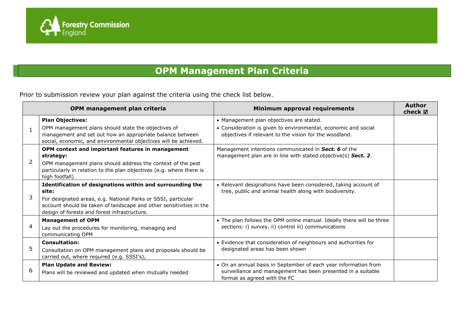

#### **OPM Management Plan Criteria**

Prior to submission review your plan against the criteria using the check list below.

|                          | OPM management plan criteria                                                                                                                                                                                                                               | Minimum approval requirements                                                                                                                                        | <b>Author</b><br>check ⊠ |
|--------------------------|------------------------------------------------------------------------------------------------------------------------------------------------------------------------------------------------------------------------------------------------------------|----------------------------------------------------------------------------------------------------------------------------------------------------------------------|--------------------------|
|                          | <b>Plan Objectives:</b><br>OPM management plans should state the objectives of<br>management and set out how an appropriate balance between<br>social, economic, and environmental objectives will be achieved.                                            | • Management plan objectives are stated.<br>• Consideration is given to environmental, economic and social<br>objectives if relevant to the vision for the woodland. |                          |
| $\overline{2}$           | OPM context and important features in management<br>strategy:<br>OPM management plans should address the context of the pest<br>particularly in relation to the plan objectives (e.g. where there is<br>high footfall)                                     | Management intentions communicated in Sect. 6 of the<br>management plan are in line with stated objective(s) Sect. 2.                                                |                          |
|                          | Identification of designations within and surrounding the<br>site:<br>For designated areas, e.g. National Parks or SSSI, particular<br>account should be taken of landscape and other sensitivities in the<br>design of forests and forest infrastructure. | • Relevant designations have been considered, taking account of<br>tree, public and animal health along with biodiversity.                                           |                          |
| $\overline{\mathcal{A}}$ | <b>Management of OPM</b><br>Lay out the procedures for monitoring, managing and<br>communicating OPM                                                                                                                                                       | • The plan follows the OPM online manual. Ideally there will be three<br>sections: i) survey, ii) control iii) communications                                        |                          |
| 5                        | <b>Consultation:</b><br>Consultation on OPM management plans and proposals should be<br>carried out, where required (e.g. SSSI's),                                                                                                                         | • Evidence that consideration of neighbours and authorities for<br>designated areas has been shown                                                                   |                          |
| 6                        | <b>Plan Update and Review:</b><br>Plans will be reviewed and updated when mutually needed                                                                                                                                                                  | • On an annual basis in September of each year information from<br>surveillance and management has been presented in a suitable<br>format as agreed with the FC      |                          |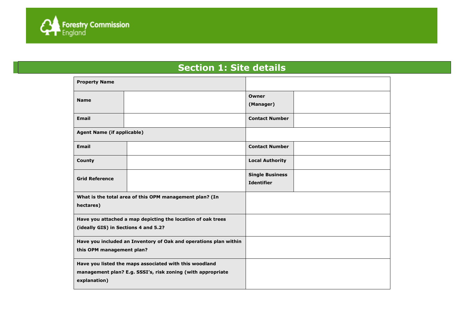

# **Section 1: Site details**

| <b>Property Name</b>                 |                                                                                                                       |                                             |  |
|--------------------------------------|-----------------------------------------------------------------------------------------------------------------------|---------------------------------------------|--|
| <b>Name</b>                          |                                                                                                                       | Owner<br>(Manager)                          |  |
| <b>Email</b>                         |                                                                                                                       | <b>Contact Number</b>                       |  |
| <b>Agent Name (if applicable)</b>    |                                                                                                                       |                                             |  |
| <b>Email</b>                         |                                                                                                                       | <b>Contact Number</b>                       |  |
| County                               |                                                                                                                       | <b>Local Authority</b>                      |  |
| <b>Grid Reference</b>                |                                                                                                                       | <b>Single Business</b><br><b>Identifier</b> |  |
| hectares)                            | What is the total area of this OPM management plan? (In                                                               |                                             |  |
| (ideally GIS) in Sections 4 and 5.2? | Have you attached a map depicting the location of oak trees                                                           |                                             |  |
| this OPM management plan?            | Have you included an Inventory of Oak and operations plan within                                                      |                                             |  |
| explanation)                         | Have you listed the maps associated with this woodland<br>management plan? E.g. SSSI's, risk zoning (with appropriate |                                             |  |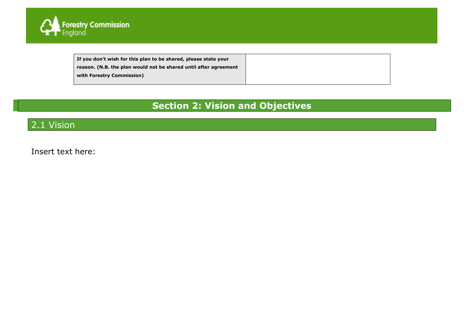

**If you don't wish for this plan to be shared, please state your reason. (N.B. the plan would not be shared until after agreement with Forestry Commission)**

## **Section 2: Vision and Objectives**

#### 2.1 Vision

Insert text here: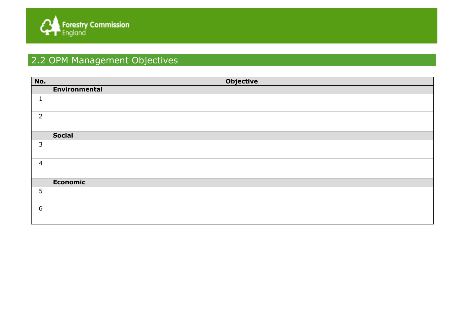

# 2.2 OPM Management Objectives

| Objective       |
|-----------------|
| Environmental   |
|                 |
|                 |
|                 |
|                 |
| <b>Social</b>   |
|                 |
|                 |
|                 |
|                 |
| <b>Economic</b> |
|                 |
|                 |
|                 |
|                 |
|                 |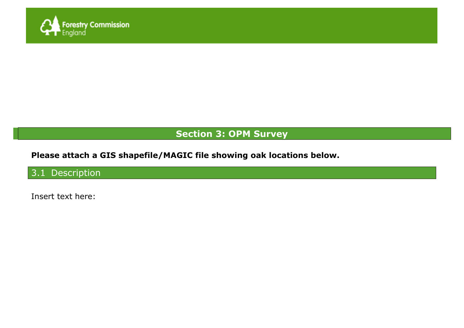

#### **Section 3: OPM Survey**

**Please attach a GIS shapefile/MAGIC file showing oak locations below.**

3.1 Description

Insert text here: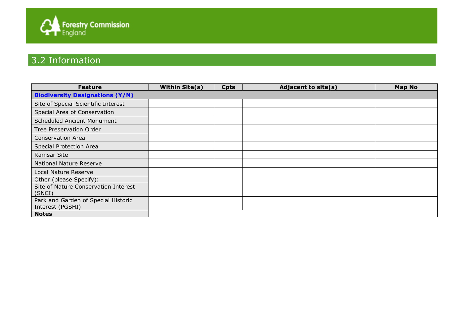

# 3.2 Information

| <b>Feature</b>                         | <b>Within Site(s)</b> | <b>Cpts</b> | Adjacent to site(s) | <b>Map No</b> |
|----------------------------------------|-----------------------|-------------|---------------------|---------------|
| <b>Biodiversity Designations (Y/N)</b> |                       |             |                     |               |
| Site of Special Scientific Interest    |                       |             |                     |               |
| Special Area of Conservation           |                       |             |                     |               |
| <b>Scheduled Ancient Monument</b>      |                       |             |                     |               |
| Tree Preservation Order                |                       |             |                     |               |
| <b>Conservation Area</b>               |                       |             |                     |               |
| <b>Special Protection Area</b>         |                       |             |                     |               |
| <b>Ramsar Site</b>                     |                       |             |                     |               |
| <b>National Nature Reserve</b>         |                       |             |                     |               |
| Local Nature Reserve                   |                       |             |                     |               |
| Other (please Specify):                |                       |             |                     |               |
| Site of Nature Conservation Interest   |                       |             |                     |               |
| (SNCI)                                 |                       |             |                     |               |
| Park and Garden of Special Historic    |                       |             |                     |               |
| Interest (PGSHI)                       |                       |             |                     |               |
| <b>Notes</b>                           |                       |             |                     |               |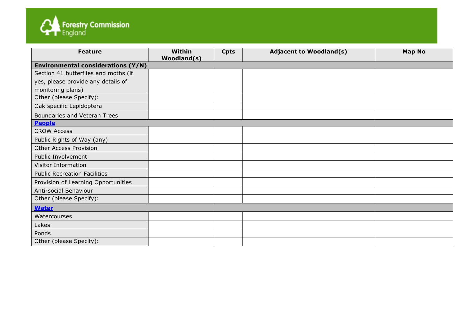

| <b>Feature</b>                            | Within<br><b>Woodland(s)</b> | <b>Cpts</b> | <b>Adjacent to Woodland(s)</b> | <b>Map No</b> |
|-------------------------------------------|------------------------------|-------------|--------------------------------|---------------|
| <b>Environmental considerations (Y/N)</b> |                              |             |                                |               |
| Section 41 butterflies and moths (if      |                              |             |                                |               |
| yes, please provide any details of        |                              |             |                                |               |
| monitoring plans)                         |                              |             |                                |               |
| Other (please Specify):                   |                              |             |                                |               |
| Oak specific Lepidoptera                  |                              |             |                                |               |
| Boundaries and Veteran Trees              |                              |             |                                |               |
| <b>People</b>                             |                              |             |                                |               |
| <b>CROW Access</b>                        |                              |             |                                |               |
| Public Rights of Way (any)                |                              |             |                                |               |
| <b>Other Access Provision</b>             |                              |             |                                |               |
| Public Involvement                        |                              |             |                                |               |
| Visitor Information                       |                              |             |                                |               |
| <b>Public Recreation Facilities</b>       |                              |             |                                |               |
| Provision of Learning Opportunities       |                              |             |                                |               |
| Anti-social Behaviour                     |                              |             |                                |               |
| Other (please Specify):                   |                              |             |                                |               |
| <b>Water</b>                              |                              |             |                                |               |
| Watercourses                              |                              |             |                                |               |
| Lakes                                     |                              |             |                                |               |
| Ponds                                     |                              |             |                                |               |
| Other (please Specify):                   |                              |             |                                |               |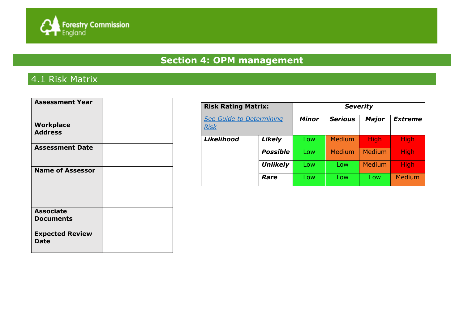

## **Section 4: OPM management**

# 4.1 Risk Matrix

| <b>Assessment Year</b>                |  |
|---------------------------------------|--|
| <b>Workplace</b><br><b>Address</b>    |  |
| <b>Assessment Date</b>                |  |
| <b>Name of Assessor</b>               |  |
| <b>Associate</b><br><b>Documents</b>  |  |
| <b>Expected Review</b><br><b>Date</b> |  |

| <b>Risk Rating Matrix:</b>              | <b>Severity</b> |                |              |                |               |  |
|-----------------------------------------|-----------------|----------------|--------------|----------------|---------------|--|
| See Guide to Determining<br><b>Risk</b> | <b>Minor</b>    | <b>Serious</b> | <b>Major</b> | <b>Extreme</b> |               |  |
| Likelihood                              | <b>Likely</b>   | Low            | Medium       | <b>High</b>    | <b>High</b>   |  |
|                                         | <b>Possible</b> | Low            | Medium       | Medium         | <b>High</b>   |  |
|                                         | <b>Unlikely</b> | Low            | Low          | Medium         | <b>High</b>   |  |
|                                         | Rare            | Low            | Low          | Low            | <b>Medium</b> |  |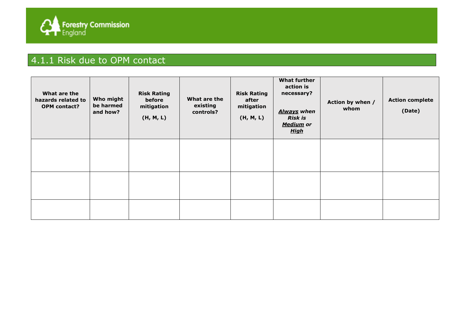

# 4.1.1 Risk due to OPM contact

| What are the<br>hazards related to<br><b>OPM</b> contact? | Who might<br>be harmed<br>and how? | <b>Risk Rating</b><br>before<br>mitigation<br>(H, M, L) | What are the<br>existing<br>controls? | <b>Risk Rating</b><br>after<br>mitigation<br>(H, M, L) | <b>What further</b><br>action is<br>necessary?<br><b>Always when</b><br><b>Risk is</b><br>Medium or<br><u>High</u> | Action by when /<br>whom | <b>Action complete</b><br>(Date) |
|-----------------------------------------------------------|------------------------------------|---------------------------------------------------------|---------------------------------------|--------------------------------------------------------|--------------------------------------------------------------------------------------------------------------------|--------------------------|----------------------------------|
|                                                           |                                    |                                                         |                                       |                                                        |                                                                                                                    |                          |                                  |
|                                                           |                                    |                                                         |                                       |                                                        |                                                                                                                    |                          |                                  |
|                                                           |                                    |                                                         |                                       |                                                        |                                                                                                                    |                          |                                  |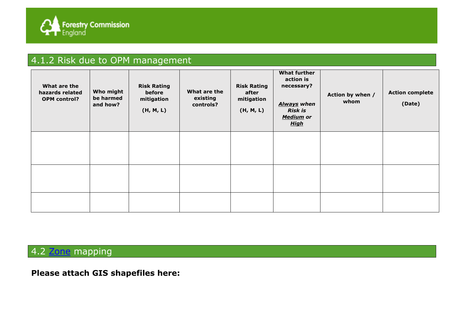

#### 4.1.2 Risk due to OPM management

| What are the<br>hazards related<br><b>OPM</b> control? | Who might<br>be harmed<br>and how? | <b>Risk Rating</b><br>before<br>mitigation<br>(H, M, L) | What are the<br>existing<br>controls? | <b>Risk Rating</b><br>after<br>mitigation<br>(H, M, L) | <b>What further</b><br>action is<br>necessary?<br><b>Always when</b><br><b>Risk is</b><br>Medium or<br><u>High</u> | Action by when /<br>whom | <b>Action complete</b><br>(Date) |
|--------------------------------------------------------|------------------------------------|---------------------------------------------------------|---------------------------------------|--------------------------------------------------------|--------------------------------------------------------------------------------------------------------------------|--------------------------|----------------------------------|
|                                                        |                                    |                                                         |                                       |                                                        |                                                                                                                    |                          |                                  |
|                                                        |                                    |                                                         |                                       |                                                        |                                                                                                                    |                          |                                  |
|                                                        |                                    |                                                         |                                       |                                                        |                                                                                                                    |                          |                                  |

# 4.2 [Zone](http://www.forestry.gov.uk/forestry/infd-6abl5v) mapping

**Please attach GIS shapefiles here:**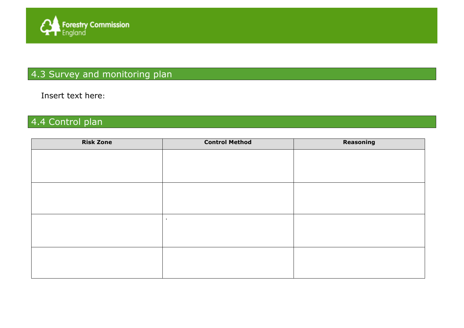

# 4.3 Survey and monitoring plan

Insert text here:

## 4.4 Control plan

| <b>Risk Zone</b> | <b>Control Method</b> | Reasoning |
|------------------|-----------------------|-----------|
|                  |                       |           |
|                  |                       |           |
|                  |                       |           |
|                  |                       |           |
|                  |                       |           |
|                  |                       |           |
|                  | $\blacksquare$        |           |
|                  |                       |           |
|                  |                       |           |
|                  |                       |           |
|                  |                       |           |
|                  |                       |           |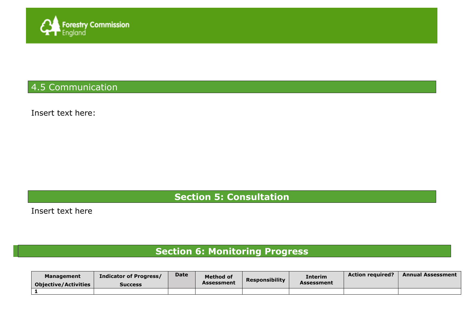

#### 4.5 Communication

Insert text here:

#### **Section 5: Consultation**

Insert text here

## **Section 6: Monitoring Progress**

| <b>Management</b><br><b>Objective/Activities</b> | Indicator of Progress/<br>Success | <b>Date</b> | Method of<br>Assessment | <b>Responsibility</b> | Interim<br>Assessment | <b>Action required?</b> | <b>Annual Assessment</b> |
|--------------------------------------------------|-----------------------------------|-------------|-------------------------|-----------------------|-----------------------|-------------------------|--------------------------|
|                                                  |                                   |             |                         |                       |                       |                         |                          |